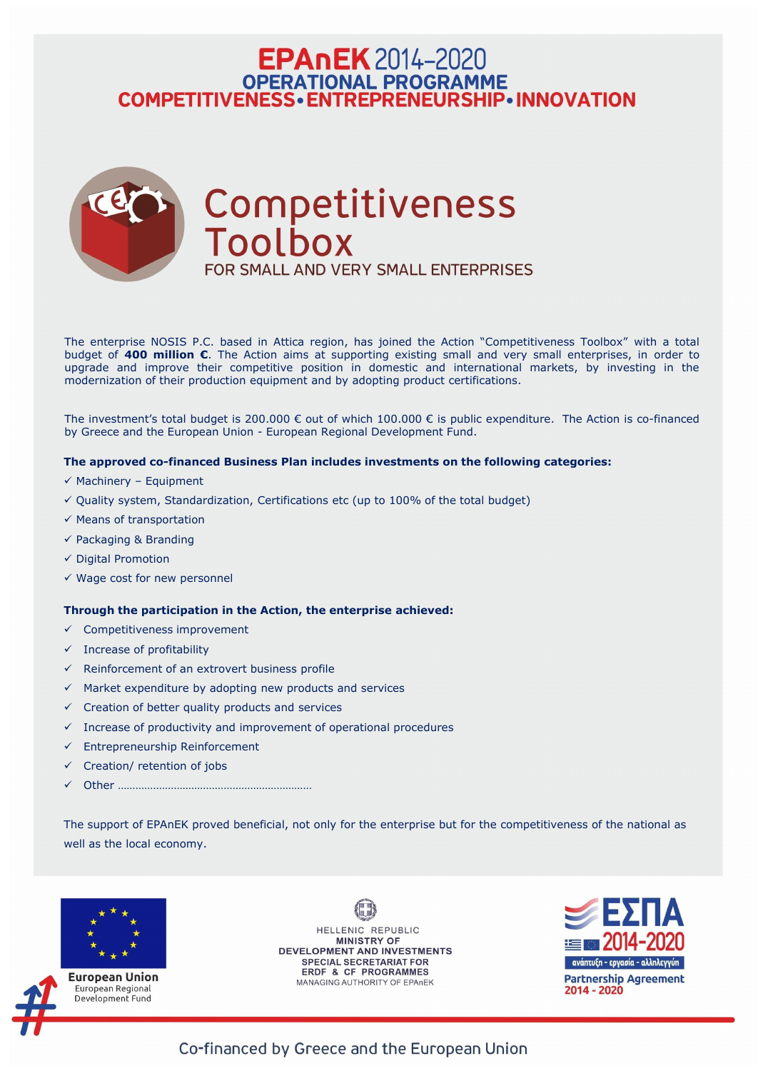# **EPAnEK** 2014-2020 OPERATIONAL PROGRAMME<br>COMPETITIVENESS • ENTREPRENEURSHIP • INNOVATION



The enterprise NOSIS P.C. based in Attica region, has joined the Action "Competitiveness Toolbox" with a total budget of **400 million €**. The Action aims at supporting existing small and very small enterprises, in order to upgrade and improve their competitive position in domestic and international markets, by investing in the modernization of their production equipment and by adopting product certifications.

The investment's total budget is 200.000 € out of which 100.000 € is public expenditure. The Action is co-financed by Greece and the European Union - European Regional Development Fund.

### **The approved co-financed Business Plan includes investments on the following categories:**

- $\checkmark$  Machinery Equipment
- $\checkmark$  Quality system, Standardization, Certifications etc (up to 100% of the total budget)
- $\checkmark$  Means of transportation
- $\checkmark$  Packaging & Branding
- ✓ Digital Promotion
- $\checkmark$  Wage cost for new personnel

- $\checkmark$  Competitiveness improvement
- $\checkmark$  Increase of profitability
- $\checkmark$  Reinforcement of an extrovert business profile
- $\checkmark$  Market expenditure by adopting new products and services
- $\checkmark$  Creation of better quality products and services
- $\checkmark$  Increase of productivity and improvement of operational procedures
- $\checkmark$  Entrepreneurship Reinforcement
- $\checkmark$  Creation/ retention of jobs
- ✓ Other …………………………………………………………

### **Through the participation in the Action, the enterprise achieved:**

The support of EPAnEK proved beneficial, not only for the enterprise but for the competitiveness of the national as well as the local economy.





**European Union** European Regional Development Fund

HELLENIC REPUBLIC **MINISTRY OF** DEVELOPMENT AND INVESTMENTS **SPECIAL SECRETARIAT FOR ERDF & CF PROGRAMMES** MANAGING AUTHORITY OF EPAnEK



Co-financed by Greece and the European Union